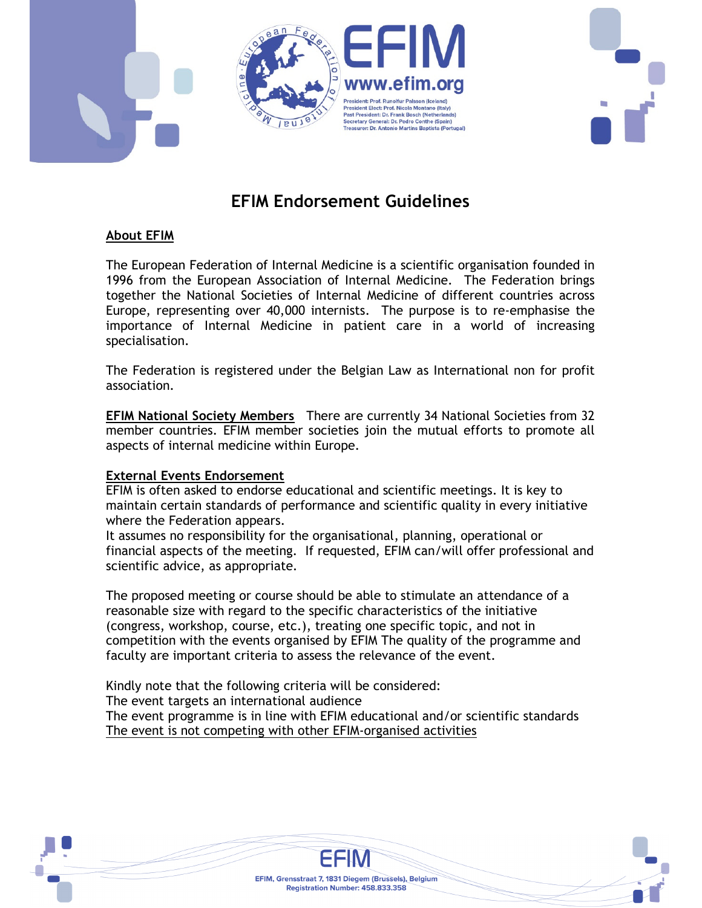



## **About EFIM**

The European Federation of Internal Medicine is a scientific organisation founded in 1996 from the European Association of Internal Medicine. The Federation brings together the National Societies of Internal Medicine of different countries across Europe, representing over 40,000 internists. The purpose is to re-emphasise the importance of Internal Medicine in patient care in a world of increasing specialisation.

The Federation is registered under the Belgian Law as International non for profit association.

**EFIM National Society Members** There are currently 34 National Societies from 32 member countries. EFIM member societies join the mutual efforts to promote all aspects of internal medicine within Europe.

## **External Events Endorsement**

EFIM is often asked to endorse educational and scientific meetings. It is key to maintain certain standards of performance and scientific quality in every initiative where the Federation appears.

It assumes no responsibility for the organisational, planning, operational or financial aspects of the meeting. If requested, EFIM can/will offer professional and scientific advice, as appropriate.

The proposed meeting or course should be able to stimulate an attendance of a reasonable size with regard to the specific characteristics of the initiative (congress, workshop, course, etc.), treating one specific topic, and not in competition with the events organised by EFIM The quality of the programme and faculty are important criteria to assess the relevance of the event.

Kindly note that the following criteria will be considered:

The event targets an international audience

The event programme is in line with EFIM educational and/or scientific standards The event is not competing with other EFIM-organised activities

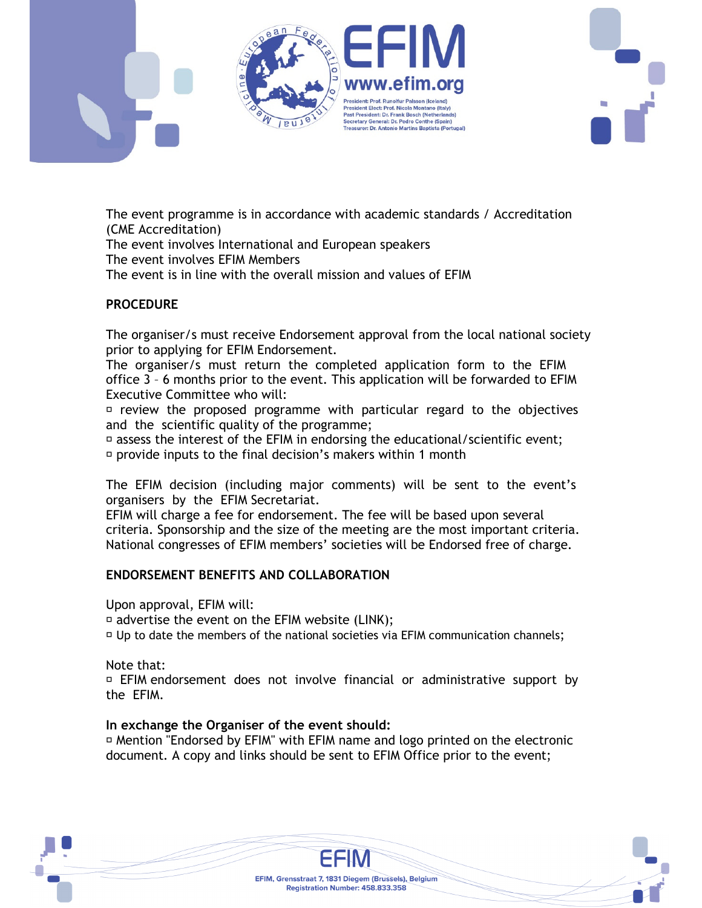



The event programme is in accordance with academic standards / Accreditation (CME Accreditation)

The event involves International and European speakers The event involves EFIM Members

The event is in line with the overall mission and values of EFIM

# **PROCEDURE**

The organiser/s must receive Endorsement approval from the local national society prior to applying for EFIM Endorsement.

The organiser/s must return the completed application form to the EFIM office 3 – 6 months prior to the event. This application will be forwarded to EFIM Executive Committee who will:

 $\Box$  review the proposed programme with particular regard to the objectives and the scientific quality of the programme;

 $\overline{p}$  assess the interest of the EFIM in endorsing the educational/scientific event; provide inputs to the final decision's makers within 1 month

The EFIM decision (including major comments) will be sent to the event's organisers by the EFIM Secretariat.

EFIM will charge a fee for endorsement. The fee will be based upon several criteria. Sponsorship and the size of the meeting are the most important criteria. National congresses of EFIM members' societies will be Endorsed free of charge.

## **ENDORSEMENT BENEFITS AND COLLABORATION**

Upon approval, EFIM will:

 $\overline{a}$  advertise the event on the EFIM website (LINK);

 $\Box$  Up to date the members of the national societies via EFIM communication channels;

Note that:

 EFIM endorsement does not involve financial or administrative support by the EFIM.

## **In exchange the Organiser of the event should:**

 Mention "Endorsed by EFIM" with EFIM name and logo printed on the electronic document. A copy and links should be sent to EFIM Office prior to the event;

> EFIM, Grensstraat 7, 1831 Diegem (Brussels), Belgium Registration Number: 458.833.358